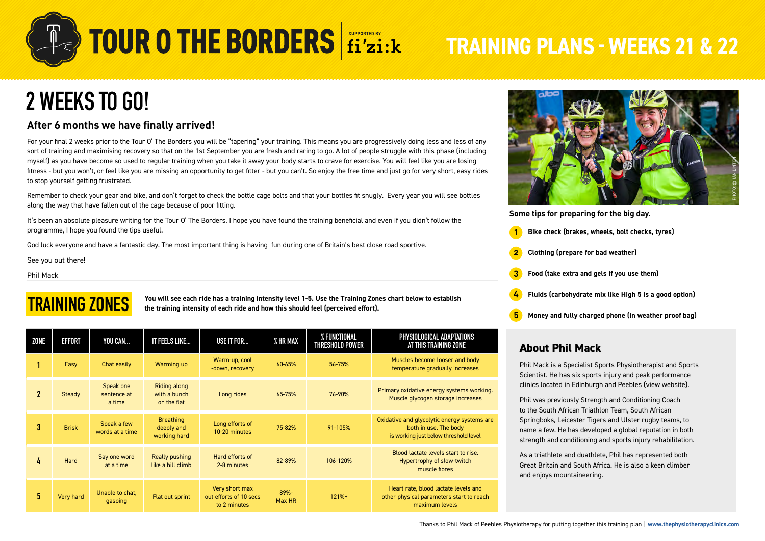

## **2 WEEKS TO GO!**

### **After 6 months we have finally arrived!**

For your final 2 weeks prior to the Tour O' The Borders you will be "tapering" your training. This means you are progressively doing less and less of any sort of training and maximising recovery so that on the 1st September you are fresh and raring to go. A lot of people struggle with this phase (including myself) as you have become so used to regular training when you take it away your body starts to crave for exercise. You will feel like you are losing fitness - but you won't, or feel like you are missing an opportunity to get fitter - but you can't. So enjoy the free time and just go for very short, easy rides to stop yourself getting frustrated.

Remember to check your gear and bike, and don't forget to check the bottle cage bolts and that your bottles fit snugly. Every year you will see bottles along the way that have fallen out of the cage because of poor fitting.

It's been an absolute pleasure writing for the Tour O' The Borders. I hope you have found the training beneficial and even if you didn't follow the programme, I hope you found the tips useful.

God luck everyone and have a fantastic day. The most important thing is having fun during one of Britain's best close road sportive.

See you out there!

Phil Mack

### **TRAINING ZONES**

**You will see each ride has a training intensity level 1-5. Use the Training Zones chart below to establish the training intensity of each ride and how this should feel (perceived effort).**

| <b>ZONE</b> | EFFORT       | YOU CAN                            | IT FEELS LIKE                                      | USE IT FOR                                               | % HR MAX          | % FUNCTIONAL<br>THRESHOLD POWER | PHYSIOLOGICAL ADAPTATIONS<br>AT THIS TRAINING ZONE                                                            |  |
|-------------|--------------|------------------------------------|----------------------------------------------------|----------------------------------------------------------|-------------------|---------------------------------|---------------------------------------------------------------------------------------------------------------|--|
|             | Easy         | Chat easily                        | Warming up                                         | Warm-up, cool<br>-down, recovery                         | 60-65%            | 56-75%                          | Muscles become looser and body<br>temperature gradually increases                                             |  |
| $\mathbf 2$ | Steady       | Speak one<br>sentence at<br>a time | <b>Riding along</b><br>with a bunch<br>on the flat | Long rides                                               | 65-75%            | 76-90%                          | Primary oxidative energy systems working.<br>Muscle glycogen storage increases                                |  |
| 3           | <b>Brisk</b> | Speak a few<br>words at a time     | <b>Breathing</b><br>deeply and<br>working hard     | Long efforts of<br>10-20 minutes                         | 75-82%            | 91-105%                         | Oxidative and glycolytic energy systems are<br>both in use. The body<br>is working just below threshold level |  |
| 4           | Hard         | Say one word<br>at a time          | Really pushing<br>like a hill climb                | Hard efforts of<br>2-8 minutes                           | 82-89%            | 106-120%                        | Blood lactate levels start to rise.<br>Hypertrophy of slow-twitch<br>muscle fibres                            |  |
| 5           | Very hard    | Unable to chat,<br>gasping         | Flat out sprint                                    | Very short max<br>out efforts of 10 secs<br>to 2 minutes | $89% -$<br>Max HR | $121% +$                        | Heart rate, blood lactate levels and<br>other physical parameters start to reach<br>maximum levels            |  |



**Some tips for preparing for the big day.**

- **1 Bike check (brakes, wheels, bolt checks, tyres)**
- **2 Clothing (prepare for bad weather)**
- **3 Food (take extra and gels if you use them)**
- **4 Fluids (carbohydrate mix like High 5 is a good option)**
- **5 Money and fully charged phone (in weather proof bag)**

### **About Phil Mack**

Phil Mack is a Specialist Sports Physiotherapist and Sports Scientist. He has six sports injury and peak performance clinics located in Edinburgh and Peebles ([view website](https://thephysiotherapyclinics.com/)).

Phil was previously Strength and Conditioning Coach to the South African Triathlon Team, South African Springboks, Leicester Tigers and Ulster rugby teams, to name a few. He has developed a global reputation in both strength and conditioning and sports injury rehabilitation.

As a triathlete and duathlete, Phil has represented both Great Britain and South Africa. He is also a keen climber and enjoys mountaineering.